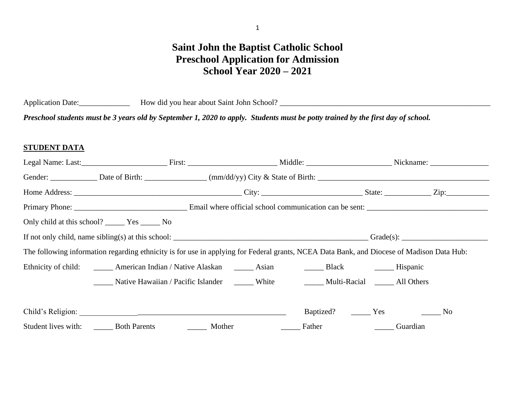# **Saint John the Baptist Catholic School Preschool Application for Admission School Year 2020 – 2021**

Application Date:\_\_\_\_\_\_\_\_\_\_\_\_\_ How did you hear about Saint John School? \_\_\_\_\_\_\_\_\_\_\_\_\_\_\_\_\_\_\_\_\_\_\_\_\_\_\_\_\_\_\_\_\_\_\_\_\_\_\_\_\_\_\_\_\_\_\_\_\_\_\_\_\_\_

*Preschool students must be 3 years old by September 1, 2020 to apply. Students must be potty trained by the first day of school.* 

### **STUDENT DATA**

|                                                                                                                                                                                                                                                                                                                                                                                       | Legal Name: Last: <u> Legal Name: Last: Legal Name: Last:</u> Legal Name: Last: Legal Name: Last: Legal Name: Last: Legal Name: Last: Legal Name: Last: Legal Name: Last: Legal Name: Last: Legal Name: Last: Legal Name: Last: Leg |                                                                                                                                 |  |           |                                                     |     |  |
|---------------------------------------------------------------------------------------------------------------------------------------------------------------------------------------------------------------------------------------------------------------------------------------------------------------------------------------------------------------------------------------|-------------------------------------------------------------------------------------------------------------------------------------------------------------------------------------------------------------------------------------|---------------------------------------------------------------------------------------------------------------------------------|--|-----------|-----------------------------------------------------|-----|--|
|                                                                                                                                                                                                                                                                                                                                                                                       |                                                                                                                                                                                                                                     |                                                                                                                                 |  |           |                                                     |     |  |
|                                                                                                                                                                                                                                                                                                                                                                                       |                                                                                                                                                                                                                                     |                                                                                                                                 |  |           |                                                     |     |  |
|                                                                                                                                                                                                                                                                                                                                                                                       |                                                                                                                                                                                                                                     |                                                                                                                                 |  |           |                                                     |     |  |
|                                                                                                                                                                                                                                                                                                                                                                                       | Only child at this school? ________ Yes ________ No                                                                                                                                                                                 |                                                                                                                                 |  |           |                                                     |     |  |
| If not only child, name sibling(s) at this school: $\frac{1}{\sqrt{1-\frac{1}{\sqrt{1-\frac{1}{\sqrt{1-\frac{1}{\sqrt{1-\frac{1}{\sqrt{1-\frac{1}{\sqrt{1-\frac{1}{\sqrt{1-\frac{1}{\sqrt{1-\frac{1}{\sqrt{1-\frac{1}{\sqrt{1-\frac{1}{\sqrt{1-\frac{1}{\sqrt{1-\frac{1}{\sqrt{1-\frac{1}{\sqrt{1-\frac{1}{\sqrt{1-\frac{1}{\sqrt{1-\frac{1}{\sqrt{1-\frac{1}{\sqrt{1-\frac{1}{\sqrt$ |                                                                                                                                                                                                                                     |                                                                                                                                 |  |           |                                                     |     |  |
|                                                                                                                                                                                                                                                                                                                                                                                       | The following information regarding ethnicity is for use in applying for Federal grants, NCEA Data Bank, and Diocese of Madison Data Hub:                                                                                           |                                                                                                                                 |  |           |                                                     |     |  |
|                                                                                                                                                                                                                                                                                                                                                                                       | Ethnicity of child: _______ American Indian / Native Alaskan ______ Asian _______ Black _______ Hispanic                                                                                                                            |                                                                                                                                 |  |           |                                                     |     |  |
|                                                                                                                                                                                                                                                                                                                                                                                       | Native Hawaiian / Pacific Islander _______ White ___________ Multi-Racial _______ All Others                                                                                                                                        |                                                                                                                                 |  |           |                                                     |     |  |
|                                                                                                                                                                                                                                                                                                                                                                                       |                                                                                                                                                                                                                                     |                                                                                                                                 |  |           |                                                     |     |  |
|                                                                                                                                                                                                                                                                                                                                                                                       |                                                                                                                                                                                                                                     |                                                                                                                                 |  | Baptized? | Yes                                                 | No. |  |
|                                                                                                                                                                                                                                                                                                                                                                                       | Student lives with: Both Parents                                                                                                                                                                                                    | Mother<br><u> 1980 - Jan Barat III, prima prima prima prima prima prima prima prima prima prima prima prima prima prima pri</u> |  | Father    | <u> 1990 - Jan Albert III, prima po</u><br>Guardian |     |  |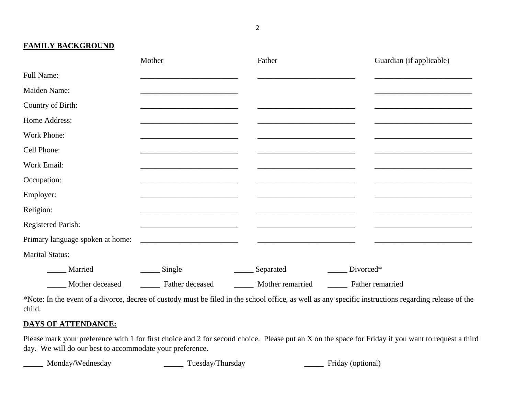**FAMILY BACKGROUND**

|                                  | Mother          | Father           | Guardian (if applicable) |
|----------------------------------|-----------------|------------------|--------------------------|
| Full Name:                       |                 |                  |                          |
| Maiden Name:                     |                 |                  |                          |
| Country of Birth:                |                 |                  |                          |
| Home Address:                    |                 |                  |                          |
| Work Phone:                      |                 |                  |                          |
| Cell Phone:                      |                 |                  |                          |
| Work Email:                      |                 |                  |                          |
| Occupation:                      |                 |                  |                          |
| Employer:                        |                 |                  |                          |
| Religion:                        |                 |                  |                          |
| <b>Registered Parish:</b>        |                 |                  |                          |
| Primary language spoken at home: |                 |                  |                          |
| <b>Marital Status:</b>           |                 |                  |                          |
| Married                          | Single          | Separated        | Divorced*                |
| Mother deceased                  | Father deceased | Mother remarried | Father remarried         |

\*Note: In the event of a divorce, decree of custody must be filed in the school office, as well as any specific instructions regarding release of the child.

# **DAYS OF ATTENDANCE:**

Please mark your preference with 1 for first choice and 2 for second choice. Please put an X on the space for Friday if you want to request a third day. We will do our best to accommodate your preference.

\_\_\_\_\_ Monday/Wednesday \_\_\_\_\_ Tuesday/Thursday \_\_\_\_\_ Friday (optional)